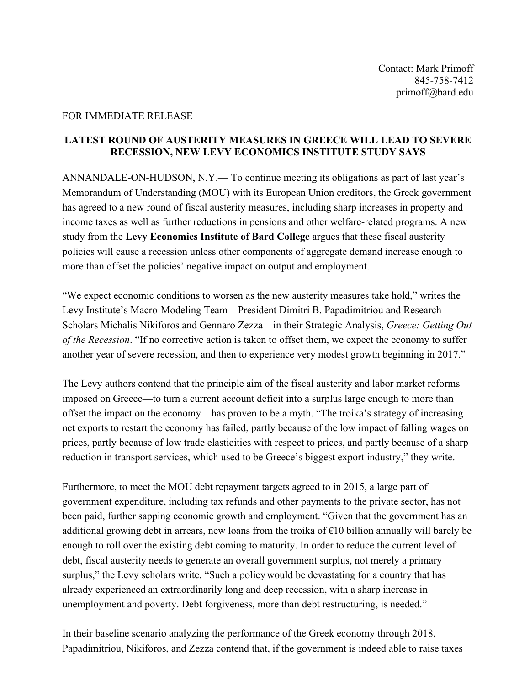## FOR IMMEDIATE RELEASE

## **LATEST ROUND OF AUSTERITY MEASURES IN GREECE WILL LEAD TO SEVERE RECESSION, NEW LEVY ECONOMICS INSTITUTE STUDY SAYS**

ANNANDALE-ON-HUDSON, N.Y.— To continue meeting its obligations as part of last year's Memorandum of Understanding (MOU) with its European Union creditors, the Greek government has agreed to a new round of fiscal austerity measures, including sharp increases in property and income taxes as well as further reductions in pensions and other welfare-related programs. A new study from the **Levy Economics Institute of Bard College** argues that these fiscal austerity policies will cause a recession unless other components of aggregate demand increase enough to more than offset the policies' negative impact on output and employment.

"We expect economic conditions to worsen as the new austerity measures take hold," writes the Levy Institute's Macro-Modeling Team—President Dimitri B. Papadimitriou and Research Scholars Michalis Nikiforos and Gennaro Zezza—in their Strategic Analysis, *Greece: Getting Out of the Recession*. "If no corrective action is taken to offset them, we expect the economy to suffer another year of severe recession, and then to experience very modest growth beginning in 2017."

The Levy authors contend that the principle aim of the fiscal austerity and labor market reforms imposed on Greece—to turn a current account deficit into a surplus large enough to more than offset the impact on the economy—has proven to be a myth. "The troika's strategy of increasing net exports to restart the economy has failed, partly because of the low impact of falling wages on prices, partly because of low trade elasticities with respect to prices, and partly because of a sharp reduction in transport services, which used to be Greece's biggest export industry," they write.

Furthermore, to meet the MOU debt repayment targets agreed to in 2015, a large part of government expenditure, including tax refunds and other payments to the private sector, has not been paid, further sapping economic growth and employment. "Given that the government has an additional growing debt in arrears, new loans from the troika of  $\epsilon$ 10 billion annually will barely be enough to roll over the existing debt coming to maturity. In order to reduce the current level of debt, fiscal austerity needs to generate an overall government surplus, not merely a primary surplus," the Levy scholars write. "Such a policy would be devastating for a country that has already experienced an extraordinarily long and deep recession, with a sharp increase in unemployment and poverty. Debt forgiveness, more than debt restructuring, is needed."

In their baseline scenario analyzing the performance of the Greek economy through 2018, Papadimitriou, Nikiforos, and Zezza contend that, if the government is indeed able to raise taxes